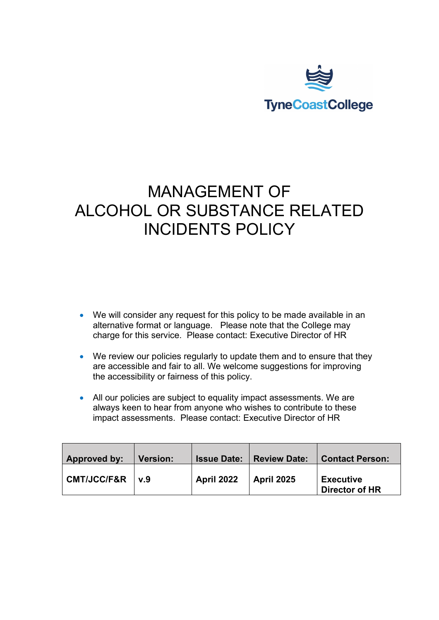

# MANAGEMENT OF ALCOHOL OR SUBSTANCE RELATED INCIDENTS POLICY

- We will consider any request for this policy to be made available in an alternative format or language. Please note that the College may charge for this service. Please contact: Executive Director of HR
- We review our policies regularly to update them and to ensure that they are accessible and fair to all. We welcome suggestions for improving the accessibility or fairness of this policy.
- All our policies are subject to equality impact assessments. We are always keen to hear from anyone who wishes to contribute to these impact assessments. Please contact: Executive Director of HR

| Approved by:        | <b>Version:</b> | <b>Issue Date:</b> | Review Date:      | <b>Contact Person:</b>                    |
|---------------------|-----------------|--------------------|-------------------|-------------------------------------------|
| $CMT/JCC/FAR$   v.9 |                 | <b>April 2022</b>  | <b>April 2025</b> | <b>Executive</b><br><b>Director of HR</b> |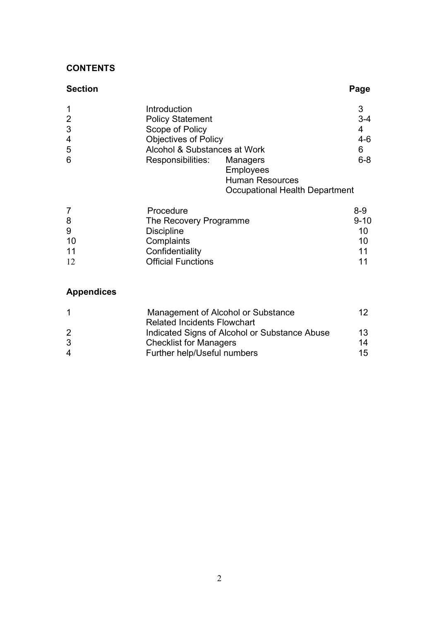### **CONTENTS**

# **Section Page**

| 1 | Introduction               |                                       |         |
|---|----------------------------|---------------------------------------|---------|
| 2 | <b>Policy Statement</b>    |                                       | $3 - 4$ |
| 3 | Scope of Policy            |                                       | 4       |
| 4 |                            | <b>Objectives of Policy</b>           |         |
| 5 |                            | Alcohol & Substances at Work          |         |
| 6 | Responsibilities: Managers |                                       | $6 - 8$ |
|   |                            | Employees                             |         |
|   |                            | <b>Human Resources</b>                |         |
|   |                            | <b>Occupational Health Department</b> |         |
|   |                            |                                       |         |

| 8<br>The Recovery Programme<br>9<br><b>Discipline</b><br>10<br>Complaints<br>11<br>Confidentiality<br>12<br><b>Official Functions</b> | Procedure | $8 - 9$  |
|---------------------------------------------------------------------------------------------------------------------------------------|-----------|----------|
|                                                                                                                                       |           | $9 - 10$ |
|                                                                                                                                       |           | 10       |
|                                                                                                                                       |           | 10       |
|                                                                                                                                       |           | 11       |
|                                                                                                                                       |           | 11       |

# **Appendices**

|   | Management of Alcohol or Substance            | 12 |
|---|-----------------------------------------------|----|
|   | <b>Related Incidents Flowchart</b>            |    |
| 2 | Indicated Signs of Alcohol or Substance Abuse | 13 |
| 3 | <b>Checklist for Managers</b>                 | 14 |
| 4 | Further help/Useful numbers                   | 15 |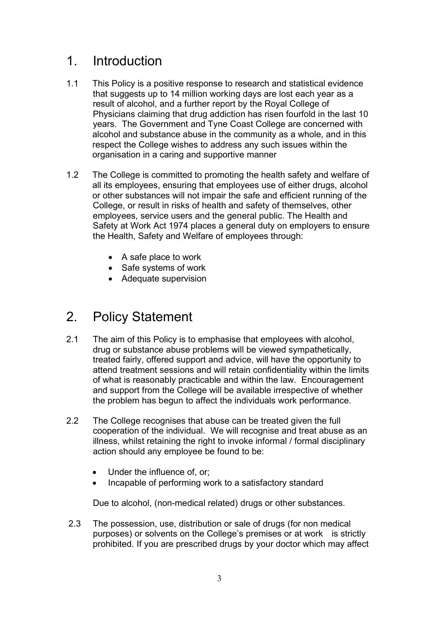# 1. Introduction

- 1.1 This Policy is a positive response to research and statistical evidence that suggests up to 14 million working days are lost each year as a result of alcohol, and a further report by the Royal College of Physicians claiming that drug addiction has risen fourfold in the last 10 years. The Government and Tyne Coast College are concerned with alcohol and substance abuse in the community as a whole, and in this respect the College wishes to address any such issues within the organisation in a caring and supportive manner
- 1.2 The College is committed to promoting the health safety and welfare of all its employees, ensuring that employees use of either drugs, alcohol or other substances will not impair the safe and efficient running of the College, or result in risks of health and safety of themselves, other employees, service users and the general public. The Health and Safety at Work Act 1974 places a general duty on employers to ensure the Health, Safety and Welfare of employees through:
	- A safe place to work
	- Safe systems of work
	- Adequate supervision

# 2. Policy Statement

- 2.1 The aim of this Policy is to emphasise that employees with alcohol, drug or substance abuse problems will be viewed sympathetically, treated fairly, offered support and advice, will have the opportunity to attend treatment sessions and will retain confidentiality within the limits of what is reasonably practicable and within the law. Encouragement and support from the College will be available irrespective of whether the problem has begun to affect the individuals work performance.
- 2.2 The College recognises that abuse can be treated given the full cooperation of the individual. We will recognise and treat abuse as an illness, whilst retaining the right to invoke informal / formal disciplinary action should any employee be found to be:
	- Under the influence of, or:
	- Incapable of performing work to a satisfactory standard

Due to alcohol, (non-medical related) drugs or other substances.

2.3 The possession, use, distribution or sale of drugs (for non medical purposes) or solvents on the College's premises or at work is strictly prohibited. If you are prescribed drugs by your doctor which may affect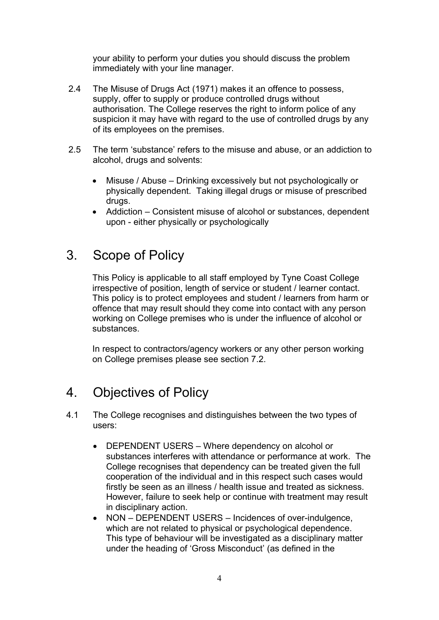your ability to perform your duties you should discuss the problem immediately with your line manager.

- 2.4 The Misuse of Drugs Act (1971) makes it an offence to possess, supply, offer to supply or produce controlled drugs without authorisation. The College reserves the right to inform police of any suspicion it may have with regard to the use of controlled drugs by any of its employees on the premises.
- 2.5 The term 'substance' refers to the misuse and abuse, or an addiction to alcohol, drugs and solvents:
	- Misuse / Abuse Drinking excessively but not psychologically or physically dependent. Taking illegal drugs or misuse of prescribed drugs.
	- Addiction Consistent misuse of alcohol or substances, dependent upon - either physically or psychologically

# 3. Scope of Policy

This Policy is applicable to all staff employed by Tyne Coast College irrespective of position, length of service or student / learner contact. This policy is to protect employees and student / learners from harm or offence that may result should they come into contact with any person working on College premises who is under the influence of alcohol or substances.

In respect to contractors/agency workers or any other person working on College premises please see section 7.2.

# 4. Objectives of Policy

- 4.1 The College recognises and distinguishes between the two types of users:
	- DEPENDENT USERS Where dependency on alcohol or substances interferes with attendance or performance at work. The College recognises that dependency can be treated given the full cooperation of the individual and in this respect such cases would firstly be seen as an illness / health issue and treated as sickness. However, failure to seek help or continue with treatment may result in disciplinary action.
	- NON DEPENDENT USERS Incidences of over-indulgence, which are not related to physical or psychological dependence. This type of behaviour will be investigated as a disciplinary matter under the heading of 'Gross Misconduct' (as defined in the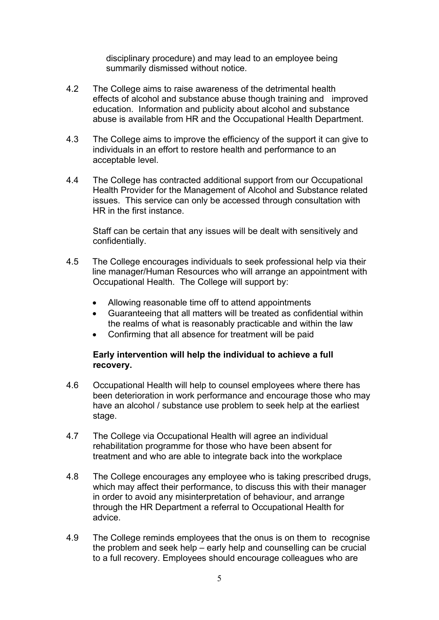disciplinary procedure) and may lead to an employee being summarily dismissed without notice.

- 4.2 The College aims to raise awareness of the detrimental health effects of alcohol and substance abuse though training and improved education. Information and publicity about alcohol and substance abuse is available from HR and the Occupational Health Department.
- 4.3 The College aims to improve the efficiency of the support it can give to individuals in an effort to restore health and performance to an acceptable level.
- 4.4 The College has contracted additional support from our Occupational Health Provider for the Management of Alcohol and Substance related issues. This service can only be accessed through consultation with HR in the first instance.

Staff can be certain that any issues will be dealt with sensitively and confidentially.

- 4.5 The College encourages individuals to seek professional help via their line manager/Human Resources who will arrange an appointment with Occupational Health. The College will support by:
	- Allowing reasonable time off to attend appointments
	- Guaranteeing that all matters will be treated as confidential within the realms of what is reasonably practicable and within the law
	- Confirming that all absence for treatment will be paid

#### **Early intervention will help the individual to achieve a full recovery.**

- 4.6 Occupational Health will help to counsel employees where there has been deterioration in work performance and encourage those who may have an alcohol / substance use problem to seek help at the earliest stage.
- 4.7 The College via Occupational Health will agree an individual rehabilitation programme for those who have been absent for treatment and who are able to integrate back into the workplace
- 4.8 The College encourages any employee who is taking prescribed drugs, which may affect their performance, to discuss this with their manager in order to avoid any misinterpretation of behaviour, and arrange through the HR Department a referral to Occupational Health for advice.
- 4.9 The College reminds employees that the onus is on them to recognise the problem and seek help – early help and counselling can be crucial to a full recovery. Employees should encourage colleagues who are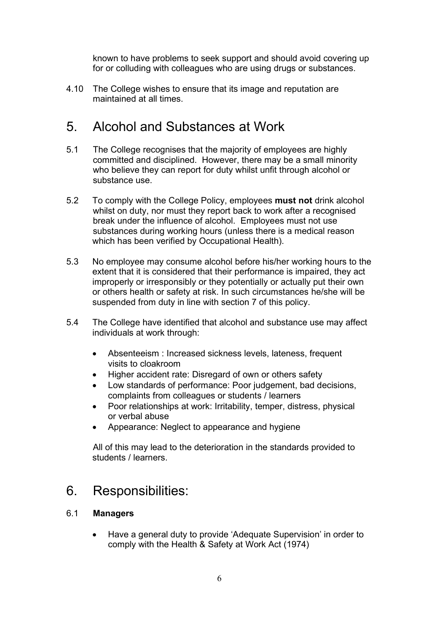known to have problems to seek support and should avoid covering up for or colluding with colleagues who are using drugs or substances.

4.10 The College wishes to ensure that its image and reputation are maintained at all times.

# 5. Alcohol and Substances at Work

- 5.1 The College recognises that the majority of employees are highly committed and disciplined. However, there may be a small minority who believe they can report for duty whilst unfit through alcohol or substance use.
- 5.2 To comply with the College Policy, employees **must not** drink alcohol whilst on duty, nor must they report back to work after a recognised break under the influence of alcohol. Employees must not use substances during working hours (unless there is a medical reason which has been verified by Occupational Health).
- 5.3 No employee may consume alcohol before his/her working hours to the extent that it is considered that their performance is impaired, they act improperly or irresponsibly or they potentially or actually put their own or others health or safety at risk. In such circumstances he/she will be suspended from duty in line with section 7 of this policy.
- 5.4 The College have identified that alcohol and substance use may affect individuals at work through:
	- Absenteeism : Increased sickness levels, lateness, frequent visits to cloakroom
	- Higher accident rate: Disregard of own or others safety
	- Low standards of performance: Poor judgement, bad decisions, complaints from colleagues or students / learners
	- Poor relationships at work: Irritability, temper, distress, physical or verbal abuse
	- Appearance: Neglect to appearance and hygiene

All of this may lead to the deterioration in the standards provided to students / learners.

# 6. Responsibilities:

### 6.1 **Managers**

• Have a general duty to provide 'Adequate Supervision' in order to comply with the Health & Safety at Work Act (1974)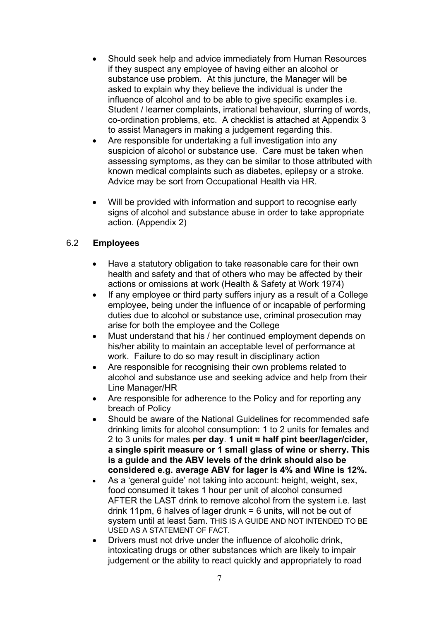- Should seek help and advice immediately from Human Resources if they suspect any employee of having either an alcohol or substance use problem. At this juncture, the Manager will be asked to explain why they believe the individual is under the influence of alcohol and to be able to give specific examples i.e. Student / learner complaints, irrational behaviour, slurring of words, co-ordination problems, etc. A checklist is attached at Appendix 3 to assist Managers in making a judgement regarding this.
- Are responsible for undertaking a full investigation into any suspicion of alcohol or substance use. Care must be taken when assessing symptoms, as they can be similar to those attributed with known medical complaints such as diabetes, epilepsy or a stroke. Advice may be sort from Occupational Health via HR.
- Will be provided with information and support to recognise early signs of alcohol and substance abuse in order to take appropriate action. (Appendix 2)

### 6.2 **Employees**

- Have a statutory obligation to take reasonable care for their own health and safety and that of others who may be affected by their actions or omissions at work (Health & Safety at Work 1974)
- If any employee or third party suffers injury as a result of a College employee, being under the influence of or incapable of performing duties due to alcohol or substance use, criminal prosecution may arise for both the employee and the College
- Must understand that his / her continued employment depends on his/her ability to maintain an acceptable level of performance at work. Failure to do so may result in disciplinary action
- Are responsible for recognising their own problems related to alcohol and substance use and seeking advice and help from their Line Manager/HR
- Are responsible for adherence to the Policy and for reporting any breach of Policy
- Should be aware of the National Guidelines for recommended safe drinking limits for alcohol consumption: 1 to 2 units for females and 2 to 3 units for males **per day**. **1 unit = half pint beer/lager/cider, a single spirit measure or 1 small glass of wine or sherry. This is a guide and the ABV levels of the drink should also be considered e.g. average ABV for lager is 4% and Wine is 12%.**
- As a 'general guide' not taking into account: height, weight, sex, food consumed it takes 1 hour per unit of alcohol consumed AFTER the LAST drink to remove alcohol from the system i.e. last drink 11pm, 6 halves of lager drunk = 6 units, will not be out of system until at least 5am. THIS IS A GUIDE AND NOT INTENDED TO BE USED AS A STATEMENT OF FACT.
- Drivers must not drive under the influence of alcoholic drink, intoxicating drugs or other substances which are likely to impair judgement or the ability to react quickly and appropriately to road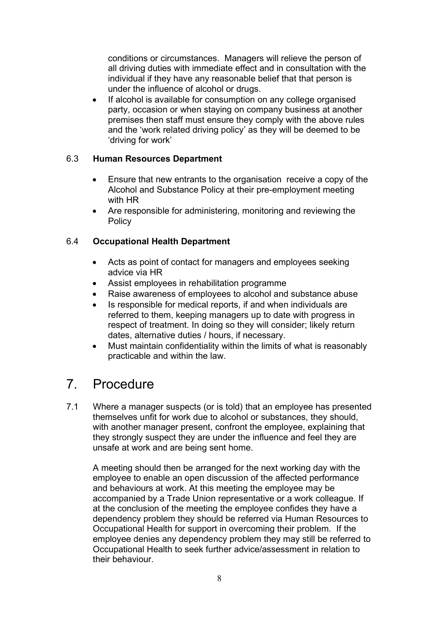conditions or circumstances. Managers will relieve the person of all driving duties with immediate effect and in consultation with the individual if they have any reasonable belief that that person is under the influence of alcohol or drugs.

If alcohol is available for consumption on any college organised party, occasion or when staying on company business at another premises then staff must ensure they comply with the above rules and the 'work related driving policy' as they will be deemed to be 'driving for work'

#### 6.3 **Human Resources Department**

- Ensure that new entrants to the organisation receive a copy of the Alcohol and Substance Policy at their pre-employment meeting with HR
- Are responsible for administering, monitoring and reviewing the **Policy**

### 6.4 **Occupational Health Department**

- Acts as point of contact for managers and employees seeking advice via HR
- Assist employees in rehabilitation programme
- Raise awareness of employees to alcohol and substance abuse
- Is responsible for medical reports, if and when individuals are referred to them, keeping managers up to date with progress in respect of treatment. In doing so they will consider; likely return dates, alternative duties / hours, if necessary.
- Must maintain confidentiality within the limits of what is reasonably practicable and within the law.

# 7. Procedure

7.1 Where a manager suspects (or is told) that an employee has presented themselves unfit for work due to alcohol or substances, they should, with another manager present, confront the employee, explaining that they strongly suspect they are under the influence and feel they are unsafe at work and are being sent home.

A meeting should then be arranged for the next working day with the employee to enable an open discussion of the affected performance and behaviours at work. At this meeting the employee may be accompanied by a Trade Union representative or a work colleague. If at the conclusion of the meeting the employee confides they have a dependency problem they should be referred via Human Resources to Occupational Health for support in overcoming their problem. If the employee denies any dependency problem they may still be referred to Occupational Health to seek further advice/assessment in relation to their behaviour.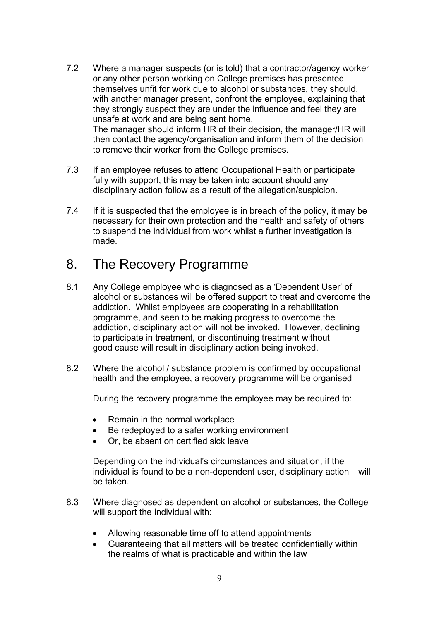- 7.2 Where a manager suspects (or is told) that a contractor/agency worker or any other person working on College premises has presented themselves unfit for work due to alcohol or substances, they should, with another manager present, confront the employee, explaining that they strongly suspect they are under the influence and feel they are unsafe at work and are being sent home. The manager should inform HR of their decision, the manager/HR will then contact the agency/organisation and inform them of the decision to remove their worker from the College premises.
- 7.3 If an employee refuses to attend Occupational Health or participate fully with support, this may be taken into account should any disciplinary action follow as a result of the allegation/suspicion.
- 7.4 If it is suspected that the employee is in breach of the policy, it may be necessary for their own protection and the health and safety of others to suspend the individual from work whilst a further investigation is made.

# 8. The Recovery Programme

- 8.1 Any College employee who is diagnosed as a 'Dependent User' of alcohol or substances will be offered support to treat and overcome the addiction. Whilst employees are cooperating in a rehabilitation programme, and seen to be making progress to overcome the addiction, disciplinary action will not be invoked. However, declining to participate in treatment, or discontinuing treatment without good cause will result in disciplinary action being invoked.
- 8.2 Where the alcohol / substance problem is confirmed by occupational health and the employee, a recovery programme will be organised

During the recovery programme the employee may be required to:

- Remain in the normal workplace
- Be redeployed to a safer working environment
- Or, be absent on certified sick leave

Depending on the individual's circumstances and situation, if the individual is found to be a non-dependent user, disciplinary action will be taken.

- 8.3 Where diagnosed as dependent on alcohol or substances, the College will support the individual with:
	- Allowing reasonable time off to attend appointments
	- Guaranteeing that all matters will be treated confidentially within the realms of what is practicable and within the law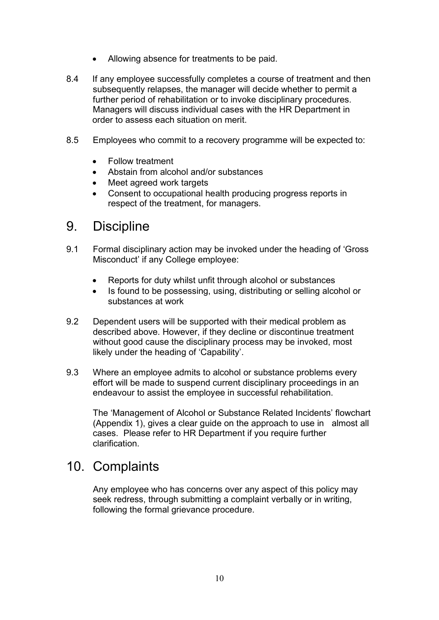- Allowing absence for treatments to be paid.
- 8.4 If any employee successfully completes a course of treatment and then subsequently relapses, the manager will decide whether to permit a further period of rehabilitation or to invoke disciplinary procedures. Managers will discuss individual cases with the HR Department in order to assess each situation on merit.
- 8.5 Employees who commit to a recovery programme will be expected to:
	- Follow treatment
	- Abstain from alcohol and/or substances
	- Meet agreed work targets
	- Consent to occupational health producing progress reports in respect of the treatment, for managers.

# 9. Discipline

- 9.1 Formal disciplinary action may be invoked under the heading of 'Gross Misconduct' if any College employee:
	- Reports for duty whilst unfit through alcohol or substances
	- Is found to be possessing, using, distributing or selling alcohol or substances at work
- 9.2 Dependent users will be supported with their medical problem as described above. However, if they decline or discontinue treatment without good cause the disciplinary process may be invoked, most likely under the heading of 'Capability'.
- 9.3 Where an employee admits to alcohol or substance problems every effort will be made to suspend current disciplinary proceedings in an endeavour to assist the employee in successful rehabilitation.

The 'Management of Alcohol or Substance Related Incidents' flowchart (Appendix 1), gives a clear guide on the approach to use in almost all cases. Please refer to HR Department if you require further clarification.

# 10. Complaints

Any employee who has concerns over any aspect of this policy may seek redress, through submitting a complaint verbally or in writing, following the formal grievance procedure.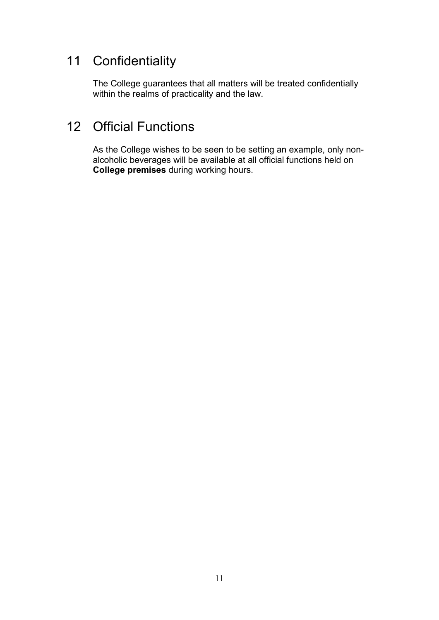# 11 Confidentiality

The College guarantees that all matters will be treated confidentially within the realms of practicality and the law.

# 12 Official Functions

As the College wishes to be seen to be setting an example, only nonalcoholic beverages will be available at all official functions held on **College premises** during working hours.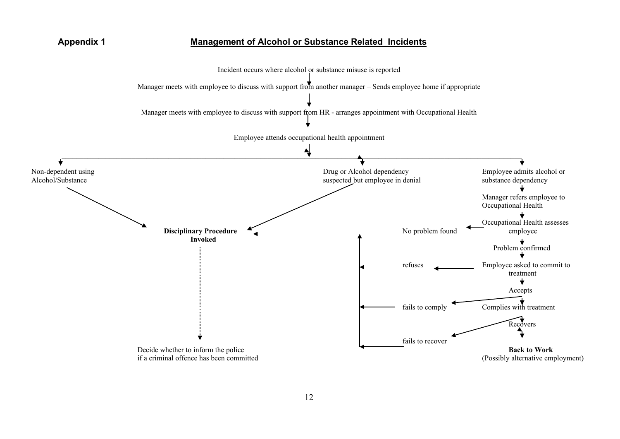#### **Appendix 1 Management of Alcohol or Substance Related Incidents**

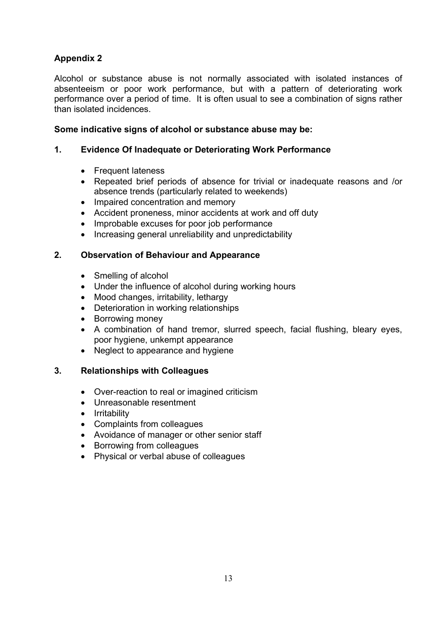### **Appendix 2**

Alcohol or substance abuse is not normally associated with isolated instances of absenteeism or poor work performance, but with a pattern of deteriorating work performance over a period of time. It is often usual to see a combination of signs rather than isolated incidences.

#### **Some indicative signs of alcohol or substance abuse may be:**

### **1. Evidence Of Inadequate or Deteriorating Work Performance**

- Frequent lateness
- Repeated brief periods of absence for trivial or inadequate reasons and /or absence trends (particularly related to weekends)
- Impaired concentration and memory
- Accident proneness, minor accidents at work and off duty
- Improbable excuses for poor job performance
- Increasing general unreliability and unpredictability

#### **2. Observation of Behaviour and Appearance**

- Smelling of alcohol
- Under the influence of alcohol during working hours
- Mood changes, irritability, lethargy
- Deterioration in working relationships
- Borrowing money
- A combination of hand tremor, slurred speech, facial flushing, bleary eyes, poor hygiene, unkempt appearance
- Neglect to appearance and hygiene

#### **3. Relationships with Colleagues**

- Over-reaction to real or imagined criticism
- Unreasonable resentment
- Irritability
- Complaints from colleagues
- Avoidance of manager or other senior staff
- Borrowing from colleagues
- Physical or verbal abuse of colleagues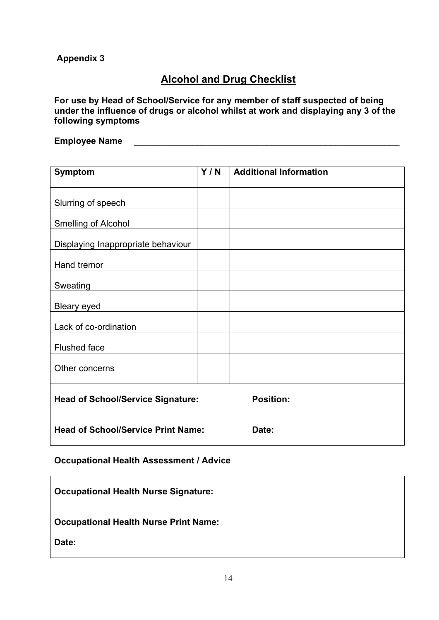### **Appendix 3**

### **Alcohol and Drug Checklist**

**For use by Head of School/Service for any member of staff suspected of being under the influence of drugs or alcohol whilst at work and displaying any 3 of the following symptoms**

Employee Name

| <b>Symptom</b>                            | Y/N | <b>Additional Information</b> |
|-------------------------------------------|-----|-------------------------------|
| Slurring of speech                        |     |                               |
| <b>Smelling of Alcohol</b>                |     |                               |
| Displaying Inappropriate behaviour        |     |                               |
| Hand tremor                               |     |                               |
| Sweating                                  |     |                               |
| <b>Bleary eyed</b>                        |     |                               |
| Lack of co-ordination                     |     |                               |
| <b>Flushed face</b>                       |     |                               |
| Other concerns                            |     |                               |
|                                           |     |                               |
| <b>Head of School/Service Signature:</b>  |     | <b>Position:</b>              |
| <b>Head of School/Service Print Name:</b> |     | Date:                         |

### **Occupational Health Assessment / Advice**

| <b>Occupational Health Nurse Signature:</b>           |  |
|-------------------------------------------------------|--|
| <b>Occupational Health Nurse Print Name:</b><br>Date: |  |
|                                                       |  |